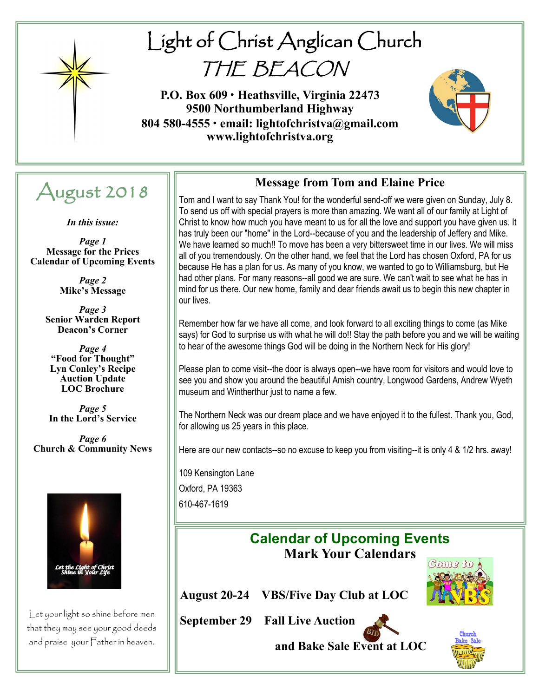

# Light of Christ Anglican Church THE BEACON

**P.O. Box 609 • Heathsville, Virginia 22473 9500 Northumberland Highway 804 580-4555 • email: lightofchristva@gmail.com www.lightofchristva.org**



# August 2018

*In this issue:*

*Page 1* **Message for the Prices Calendar of Upcoming Events**

> *Page 2* **Mike's Message**

*Page 3* **Senior Warden Report Deacon's Corner**

*Page 4* **"Food for Thought" Lyn Conley's Recipe Auction Update LOC Brochure**

*Page 5* **In the Lord's Service**

*Page 6* **Church & Community News**



Let your light so shine before men that they may see your good deeds and praise your Father in heaven.

#### **Message from Tom and Elaine Price**

Tom and I want to say Thank You! for the wonderful send-off we were given on Sunday, July 8. To send us off with special prayers is more than amazing. We want all of our family at Light of Christ to know how much you have meant to us for all the love and support you have given us. It has truly been our "home" in the Lord--because of you and the leadership of Jeffery and Mike. We have learned so much!! To move has been a very bittersweet time in our lives. We will miss all of you tremendously. On the other hand, we feel that the Lord has chosen Oxford, PA for us because He has a plan for us. As many of you know, we wanted to go to Williamsburg, but He had other plans. For many reasons--all good we are sure. We can't wait to see what he has in mind for us there. Our new home, family and dear friends await us to begin this new chapter in our lives.

Remember how far we have all come, and look forward to all exciting things to come (as Mike says) for God to surprise us with what he will do!! Stay the path before you and we will be waiting to hear of the awesome things God will be doing in the Northern Neck for His glory!

Please plan to come visit--the door is always open--we have room for visitors and would love to see you and show you around the beautiful Amish country, Longwood Gardens, Andrew Wyeth museum and Wintherthur just to name a few.

The Northern Neck was our dream place and we have enjoyed it to the fullest. Thank you, God, for allowing us 25 years in this place.

Here are our new contacts--so no excuse to keep you from visiting--it is only 4 & 1/2 hrs. away!

109 Kensington Lane Oxford, PA 19363 610-467-1619

> **Calendar of Upcoming Events Mark Your Calendars**

**August 20-24 VBS/Five Day Club at LOC**

**September 29 Fall Live Auction** 



**and Bake Sale Event at LOC** 

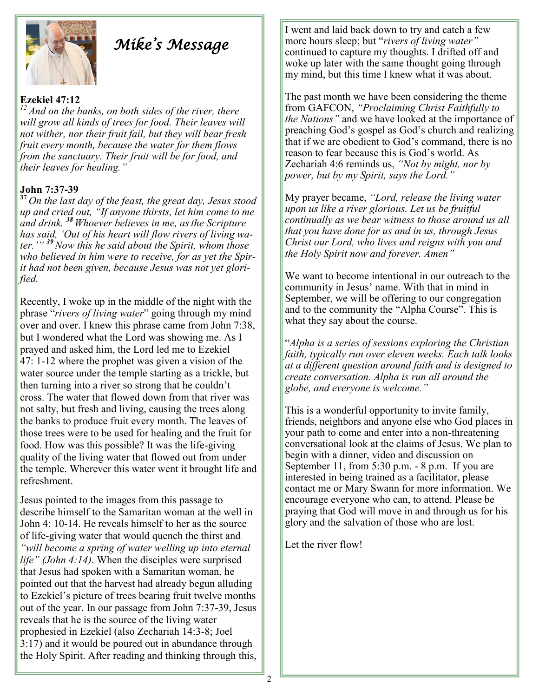

# *Mike's Message*

#### **Ezekiel 47:12**

*<sup>12</sup>And on the banks, on both sides of the river, there will grow all kinds of trees for food. Their leaves will not wither, nor their fruit fail, but they will bear fresh fruit every month, because the water for them flows from the sanctuary. Their fruit will be for food, and their leaves for healing."*

#### **John 7:37-39**

**<sup>37</sup>** *On the last day of the feast, the great day, Jesus stood up and cried out, "If anyone thirsts, let him come to me and drink. <sup>38</sup> Whoever believes in me, asthe Scripture has said, 'Out of his heart will flow rivers of living water.'" <sup>39</sup>Now this he said about the Spirit, whom those who believed in him were to receive, for as yet the Spirit had not been given, because Jesus was not yet glorified.*

Recently, I woke up in the middle of the night with the phrase "*rivers of living water*" going through my mind over and over. I knew this phrase came from John 7:38, but I wondered what the Lord was showing me. As I prayed and asked him, the Lord led me to Ezekiel 47: 1-12 where the prophet was given a vision of the water source under the temple starting as a trickle, but then turning into a river so strong that he couldn't cross. The water that flowed down from that river was not salty, but fresh and living, causing the trees along the banks to produce fruit every month. The leaves of those trees were to be used for healing and the fruit for food. How was this possible? It was the life-giving quality of the living water that flowed out from under the temple. Wherever this water went it brought life and refreshment.

Jesus pointed to the images from this passage to describe himself to the Samaritan woman at the well in John 4: 10-14. He reveals himself to her as the source of life-giving water that would quench the thirst and *"will become a spring of water welling up into eternal life" (John 4:14)*. When the disciples were surprised that Jesus had spoken with a Samaritan woman, he pointed out that the harvest had already begun alluding to Ezekiel's picture of trees bearing fruit twelve months out of the year. In our passage from John 7:37-39, Jesus reveals that he is the source of the living water prophesied in Ezekiel (also Zechariah 14:3-8; Joel 3:17) and it would be poured out in abundance through the Holy Spirit. After reading and thinking through this,

I went and laid back down to try and catch a few more hours sleep; but "*rivers of living water"*  continued to capture my thoughts. I drifted off and woke up later with the same thought going through my mind, but this time I knew what it was about.

The past month we have been considering the theme from GAFCON, *"Proclaiming Christ Faithfully to the Nations"* and we have looked at the importance of preaching God's gospel as God's church and realizing that if we are obedient to God's command, there is no reason to fear because this is God's world. As Zechariah 4:6 reminds us, *"Not by might, nor by power, but by my Spirit, says the Lord."*

My prayer became, *"Lord, release the living water upon us like a river glorious. Let us be fruitful continually as we bear witness to those around us all that you have done for us and in us, through Jesus Christ our Lord, who lives and reigns with you and the Holy Spirit now and forever. Amen"*

We want to become intentional in our outreach to the community in Jesus' name. With that in mind in September, we will be offering to our congregation and to the community the "Alpha Course". This is what they say about the course.

"*Alpha is a series of sessions exploring the Christian faith, typically run over eleven weeks. Each talk looks at a different question around faith and is designed to create conversation. Alpha is run all around the globe, and everyone is welcome."*

This is a wonderful opportunity to invite family, friends, neighbors and anyone else who God places in your path to come and enter into a non-threatening conversational look at the claims of Jesus. We plan to begin with a dinner, video and discussion on September 11, from 5:30 p.m. - 8 p.m. If you are interested in being trained as a facilitator, please contact me or Mary Swann for more information. We encourage everyone who can, to attend. Please be praying that God will move in and through us for his glory and the salvation of those who are lost.

Let the river flow!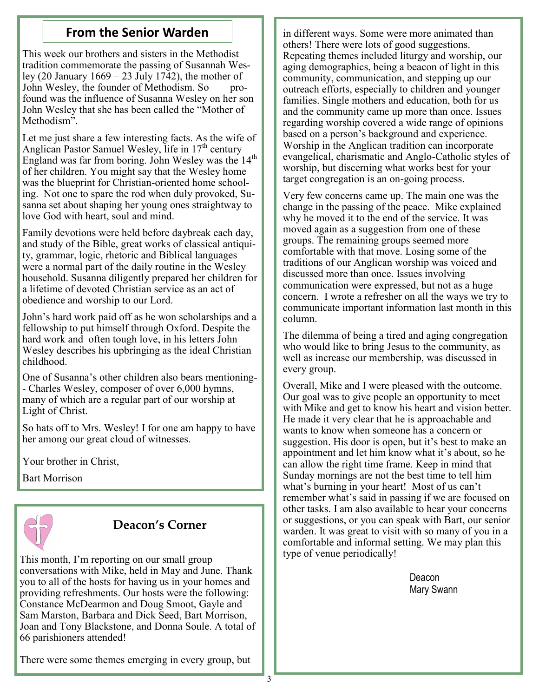This week our brothers and sisters in the Methodist tradition commemorate the passing of Susannah Wesley (20 January  $1669 - 23$  July 1742), the mother of John Wesley, the founder of Methodism. So profound was the influence of Susanna Wesley on her son John Wesley that she has been called the "Mother of Methodism".

Let me just share a few interesting facts. As the wife of Anglican Pastor Samuel Wesley, life in  $17<sup>th</sup>$  century England was far from boring. John Wesley was the 14<sup>th</sup> of her children. You might say that the Wesley home was the blueprint for Christian-oriented home schooling. Not one to spare the rod when duly provoked, Susanna set about shaping her young ones straightway to love God with heart, soul and mind.

Family devotions were held before daybreak each day, and study of the Bible, great works of classical antiquity, grammar, logic, rhetoric and Biblical languages were a normal part of the daily routine in the Wesley household. Susanna diligently prepared her children for a lifetime of devoted Christian service as an act of obedience and worship to our Lord.

John's hard work paid off as he won scholarships and a fellowship to put himself through Oxford. Despite the hard work and often tough love, in his letters John Wesley describes his upbringing as the ideal Christian childhood.

One of Susanna's other children also bears mentioning- - Charles Wesley, composer of over 6,000 hymns, many of which are a regular part of our worship at Light of Christ.

So hats off to Mrs. Wesley! I for one am happy to have her among our great cloud of witnesses.

Your brother in Christ,

Bart Morrison



### **Deacon's Corner**

This month, I'm reporting on our small group conversations with Mike, held in May and June. Thank you to all of the hosts for having us in your homes and providing refreshments. Our hosts were the following: Constance McDearmon and Doug Smoot, Gayle and Sam Marston, Barbara and Dick Seed, Bart Morrison, Joan and Tony Blackstone, and Donna Soule. A total of 66 parishioners attended!

**From the Senior Warden in different ways. Some were more animated than** others! There were lots of good suggestions. Repeating themes included liturgy and worship, our aging demographics, being a beacon of light in this community, communication, and stepping up our outreach efforts, especially to children and younger families. Single mothers and education, both for us and the community came up more than once. Issues regarding worship covered a wide range of opinions based on a person's background and experience. Worship in the Anglican tradition can incorporate evangelical, charismatic and Anglo-Catholic styles of worship, but discerning what works best for your target congregation is an on-going process.

> Very few concerns came up. The main one was the change in the passing of the peace. Mike explained why he moved it to the end of the service. It was moved again as a suggestion from one of these groups. The remaining groups seemed more comfortable with that move. Losing some of the traditions of our Anglican worship was voiced and discussed more than once. Issues involving communication were expressed, but not as a huge concern. I wrote a refresher on all the ways we try to communicate important information last month in this column.

The dilemma of being a tired and aging congregation who would like to bring Jesus to the community, as well as increase our membership, was discussed in every group.

Overall, Mike and I were pleased with the outcome. Our goal was to give people an opportunity to meet with Mike and get to know his heart and vision better. He made it very clear that he is approachable and wants to know when someone has a concern or suggestion. His door is open, but it's best to make an appointment and let him know what it's about, so he can allow the right time frame. Keep in mind that Sunday mornings are not the best time to tell him what's burning in your heart! Most of us can't remember what's said in passing if we are focused on other tasks. I am also available to hear your concerns or suggestions, or you can speak with Bart, our senior warden. It was great to visit with so many of you in a comfortable and informal setting. We may plan this type of venue periodically!

> Deacon Mary Swann

There were some themes emerging in every group, but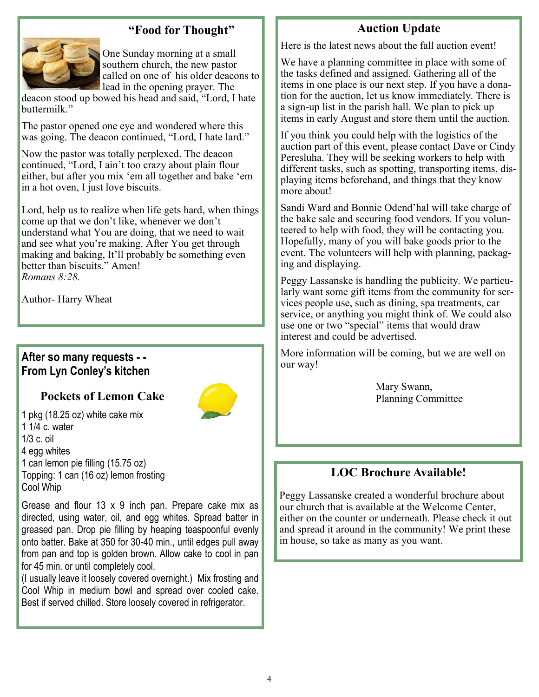#### **"Food for Thought"**



One Sunday morning at a small southern church, the new pastor called on one of his older deacons to lead in the opening prayer. The

deacon stood up bowed his head and said, "Lord, I hate buttermilk."

The pastor opened one eye and wondered where this was going. The deacon continued, "Lord, I hate lard."

Now the pastor was totally perplexed. The deacon continued, "Lord, I ain't too crazy about plain flour either, but after you mix 'em all together and bake 'em in a hot oven, I just love biscuits.

Lord, help us to realize when life gets hard, when things come up that we don't like, whenever we don't understand what You are doing, that we need to wait and see what you're making. After You get through making and baking, It'll probably be something even better than biscuits." Amen! *Romans 8:28.*

Author- Harry Wheat

#### **After so many requests - - From Lyn Conley's kitchen**

#### **Pockets of Lemon Cake**



1 pkg (18.25 oz) white cake mix 1 1/4 c. water 1/3 c. oil 4 egg whites 1 can lemon pie filling (15.75 oz) Topping: 1 can (16 oz) lemon frosting Cool Whip

Grease and flour 13 x 9 inch pan. Prepare cake mix as directed, using water, oil, and egg whites. Spread batter in greased pan. Drop pie filling by heaping teaspoonful evenly onto batter. Bake at 350 for 30-40 min., until edges pull away from pan and top is golden brown. Allow cake to cool in pan for 45 min. or until completely cool.

(I usually leave it loosely covered overnight.) Mix frosting and Cool Whip in medium bowl and spread over cooled cake. Best if served chilled. Store loosely covered in refrigerator.

#### **Auction Update**

Here is the latest news about the fall auction event!

We have a planning committee in place with some of the tasks defined and assigned. Gathering all of the items in one place is our next step. If you have a donation for the auction, let us know immediately. There is a sign-up list in the parish hall. We plan to pick up items in early August and store them until the auction.

If you think you could help with the logistics of the auction part of this event, please contact Dave or Cindy Peresluha. They will be seeking workers to help with different tasks, such as spotting, transporting items, displaying items beforehand, and things that they know more about!

Sandi Ward and Bonnie Odend'hal will take charge of the bake sale and securing food vendors. If you volunteered to help with food, they will be contacting you. Hopefully, many of you will bake goods prior to the event. The volunteers will help with planning, packaging and displaying.

Peggy Lassanske is handling the publicity. We particularly want some gift items from the community for services people use, such as dining, spa treatments, car service, or anything you might think of. We could also use one or two "special" items that would draw interest and could be advertised.

More information will be coming, but we are well on our way!

> Mary Swann, Planning Committee

#### **LOC Brochure Available!**

Peggy Lassanske created a wonderful brochure about our church that is available at the Welcome Center, either on the counter or underneath. Please check it out and spread it around in the community! We print these in house, so take as many as you want.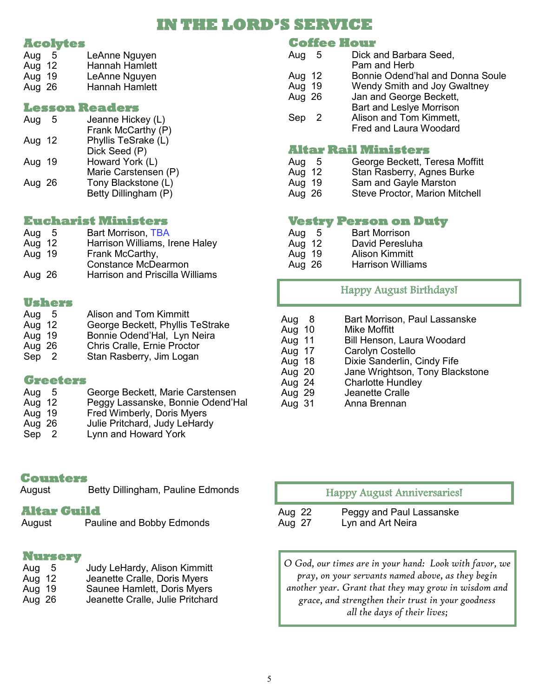### **IN THE LORD'S SERVICE**

#### **Acolytes**

| Aug    | -5 | LeAnne Nguyen         |
|--------|----|-----------------------|
| Aug 12 |    | <b>Hannah Hamlett</b> |
| Aug 19 |    | LeAnne Nguyen         |
| Aug 26 |    | <b>Hannah Hamlett</b> |
|        |    |                       |

#### **Lesson Readers**

| Aug    | .5 | Jeanne Hickey (L)    |
|--------|----|----------------------|
|        |    | Frank McCarthy (P)   |
| Aug 12 |    | Phyllis TeSrake (L)  |
|        |    | Dick Seed (P)        |
| Aug 19 |    | Howard York (L)      |
|        |    | Marie Carstensen (P) |
| Aug 26 |    | Tony Blackstone (L)  |
|        |    | Betty Dillingham (P) |
|        |    |                      |

#### **Eucharist Ministers**

| Aug<br>Aug 12 | -5 | <b>Bart Morrison, TBA</b><br>Harrison Williams, Irene Haley          |
|---------------|----|----------------------------------------------------------------------|
| Aug 19        |    | Frank McCarthy,                                                      |
| Aug 26        |    | <b>Constance McDearmon</b><br><b>Harrison and Priscilla Williams</b> |

#### **Ushers**

| <b>Alison and Tom Kimmitt</b>              |
|--------------------------------------------|
| George Beckett, Phyllis TeStrake           |
| Bonnie Odend'Hal, Lyn Neira                |
| <b>Chris Cralle, Ernie Proctor</b>         |
| Stan Rasberry, Jim Logan                   |
| - 5<br>Aug 12<br>Aug 19<br>Aug 26<br>Sep 2 |

#### **Greeters**

| Aug    | . ხ | George Beckett, Marie Carstensen  |
|--------|-----|-----------------------------------|
| Aug 12 |     | Peggy Lassanske, Bonnie Odend'Hal |
| Aug 19 |     | Fred Wimberly, Doris Myers        |
| Aug 26 |     | Julie Pritchard, Judy LeHardy     |
| Sep    | -2  | Lynn and Howard York              |

#### **Counters**

| August | Betty Dillingham, Pauline Edmonds |  |
|--------|-----------------------------------|--|
|        |                                   |  |

#### **Altar Guild**

| August | Pauline and Bobby Edmonds |
|--------|---------------------------|
|        |                           |

#### **Nursery**

| Aug 5  | Judy LeHardy, Alison Kimmitt     |
|--------|----------------------------------|
| Aug 12 | Jeanette Cralle, Doris Myers     |
| Aug 19 | Saunee Hamlett, Doris Myers      |
| Aug 26 | Jeanette Cralle, Julie Pritchard |

#### **Coffee Hour**

| Aug    | - 5 | Dick and Barbara Seed,<br>Pam and Herb                                                      |
|--------|-----|---------------------------------------------------------------------------------------------|
| Aug 12 |     | Bonnie Odend'hal and Donna Soule                                                            |
| Aug 19 |     | <b>Wendy Smith and Joy Gwaltney</b>                                                         |
| Aug 26 |     | Jan and George Beckett,                                                                     |
| Sep 2  |     | <b>Bart and Leslye Morrison</b><br>Alison and Tom Kimmett,<br><b>Fred and Laura Woodard</b> |

#### **Altar Rail Ministers**

- Aug 5 George Beckett, Teresa Moffitt
- Aug 12 Stan Rasberry, Agnes Burke<br>Aug 19 Sam and Gayle Marston
- Sam and Gayle Marston
- Aug 26 Steve Proctor, Marion Mitchell

#### **Vestry Person on Duty**

| Aug 5  | <b>Bart Morrison</b>     |
|--------|--------------------------|
| Aug 12 | David Peresluha          |
| Aug 19 | Alison Kimmitt           |
| Aug 26 | <b>Harrison Williams</b> |

#### Happy August Birthdays!

- Aug 8 Bart Morrison, Paul Lassanske Aug 10 Mike Moffitt Aug 11 Bill Henson, Laura Woodard<br>Aug 17 Carolyn Costello
- Carolyn Costello
- 
- Aug 18 Dixie Sanderlin, Cindy Fife<br>Aug 20 Jane Wrightson, Tony Blac Aug 20 Jane Wrightson, Tony Blackstone<br>Aug 24 Charlotte Hundley
- Aug 24 Charlotte Hundley<br>Aug 29 Jeanette Cralle
- Aug 29 Jeanette Cralle<br>Aug 31 Anna Brennan
- Anna Brennan

Happy August Anniversaries!

Aug 22 Peggy and Paul Lassanske<br>Aug 27 Lyn and Art Neira Lyn and Art Neira

*O God, our times are in your hand: Look with favor, we pray, on your servants named above, as they begin another year. Grant that they may grow in wisdom and grace, and strengthen their trust in your goodness all the days of their lives;*